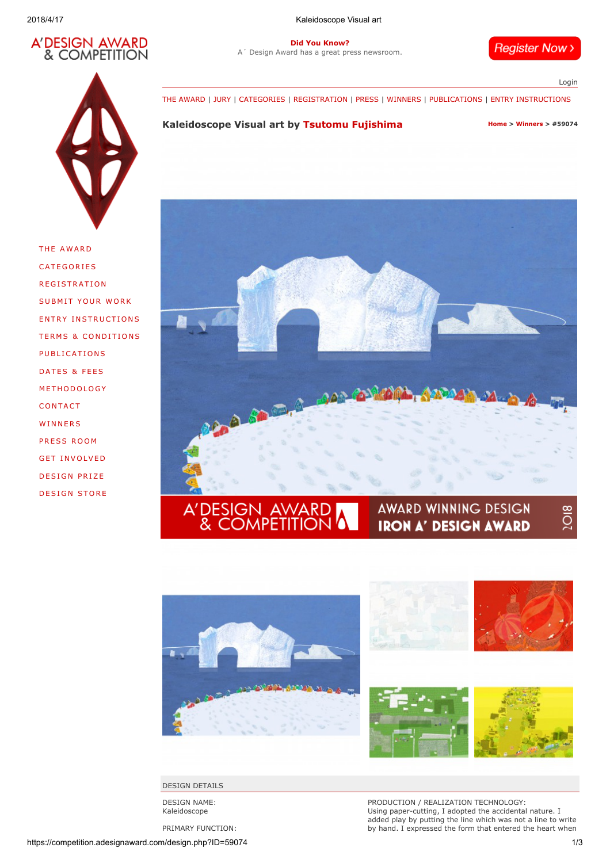

2018/4/17 Kaleidoscope Visual art

Did You Know? [A´ Design Award has a great press newsroom.](https://competition.adesignaward.com/press.html)

**Register Now >** 

[Login](https://competition.adesignaward.com/login.php)

[THE AWARD](https://competition.adesignaward.com/theaward.html) | [JURY](https://competition.adesignaward.com/jury.html) | [CATEGORIES](https://competition.adesignaward.com/categories.html) | [REGISTRATION](https://competition.adesignaward.com/registration.php) | [PRESS](https://competition.adesignaward.com/press.html) | [WINNERS](https://competition.adesignaward.com/winners.php) | [PUBLICATIONS](https://competition.adesignaward.com/publications.html) | [ENTRY INSTRUCTIONS](https://competition.adesignaward.com/entryinstructions.html)

# Kaleidoscope Visual art by [Tsutomu Fujishima](https://competition.adesignaward.com/designer.php?profile=205352) [Home](https://competition.adesignaward.com/index.html) > [Winners](https://competition.adesignaward.com/winners.php) > #59074

THE AW[AR](https://competition.adesignaward.com/theaward.html)D **[CAT](https://competition.adesignaward.com/categories.html)EGORIES REG[ISTRAT](https://competition.adesignaward.com/registration.php)ION** SUBMIT YOUR WO[RK](https://competition.adesignaward.com/submityourwork.html) ENTRY IN[STR](https://competition.adesignaward.com/entryinstructions.html)UCTIONS **T[ER](https://competition.adesignaward.com/termsandconditions.html)MS & CONDITIONS** PUBL[ICAT](https://competition.adesignaward.com/publications.html)IONS DAT[ES](https://competition.adesignaward.com/datesandfees.html) & FEES [M](https://competition.adesignaward.com/methodology.html)ETHODOLOGY **CON[TACT](https://competition.adesignaward.com/contact.html) WINN[ERS](https://competition.adesignaward.com/winners.php)** [PRESS](https://competition.adesignaward.com/press.html) ROOM GFT INVO[LVE](https://competition.adesignaward.com/get-involved.html)D DESIGN [PRIZE](https://competition.adesignaward.com/design-prize.html) D[ESI](https://competition.adesignaward.com/design-store.html)GN STORE





DESIGN DETAILS

DESIGN NAME: Kaleidoscope

PRIMARY FUNCTION:

PRODUCTION / REALIZATION TECHNOLOGY: Using paper-cutting, I adopted the accidental nature. I added play by putting the line which was not a line to write by hand. I expressed the form that entered the heart when